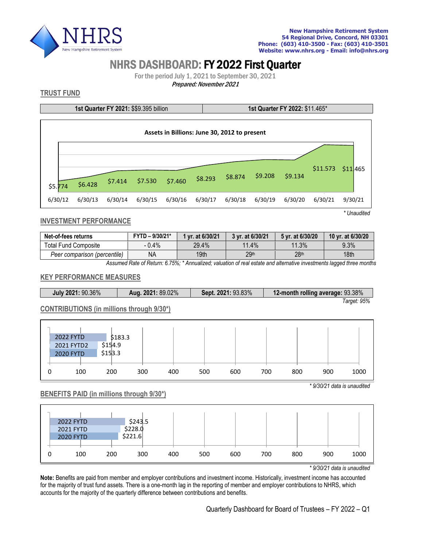

# NHRS DASHBOARD: FY 2022 First Quarter

For the period July 1, 2021 to September 30, 2021

Prepared: November 2021

# **TRUST FUND**

**1st Quarter FY 2021:** \$\$9.395 billion **1st Quarter FY 2022:** \$11.465\*



**INVESTMENT PERFORMANCE**

| Net-of-fees returns          | FYTD - 9/30/21* | 1 vr. at 6/30/21 | 3 yr. at 6/30/21 | 5 vr. at 6/30/20 | 10 yr. at 6/30/20 |  |
|------------------------------|-----------------|------------------|------------------|------------------|-------------------|--|
| Total Fund Composite         | 0.4%            | 29.4%            | 11.4%            | 11.3%            | 9.3%              |  |
| Peer comparison (percentile) | ΝA              | 19th             | 29 <sup>th</sup> | 28 <sup>th</sup> | 18 <sub>th</sub>  |  |

*Assumed Rate of Return: 6.75%; \* Annualized; valuation of real estate and alternative investments lagged three months*

#### **KEY PERFORMANCE MEASURES**

| Aug. 2021: 89.02%<br>July 2021: 90.36% |  | Sept. 2021: 93.83% | 12-month rolling average: 93.38% |  |  |
|----------------------------------------|--|--------------------|----------------------------------|--|--|
|                                        |  |                    | Target: 95%                      |  |  |

## **CONTRIBUTIONS (in millions through 9/30\*)**

|   | 2022 FYTD  | \$183.3 |     |     |     |     |     |     |     |      |
|---|------------|---------|-----|-----|-----|-----|-----|-----|-----|------|
|   | 2021 FYTD2 | \$154.9 |     |     |     |     |     |     |     |      |
|   | 2020 FYTD  | \$153.3 |     |     |     |     |     |     |     |      |
|   |            |         |     |     |     |     |     |     |     |      |
| 0 | 100        | 200     | 300 | 400 | 500 | 600 | 700 | 800 | 900 | 1000 |

#### **BENEFITS PAID (in millions through 9/30\*)**



*\* 9/30/21 data is unaudited*

*\* 9/30/21 data is unaudited*

**Note:** Benefits are paid from member and employer contributions and investment income. Historically, investment income has accounted for the majority of trust fund assets. There is a one-month lag in the reporting of member and employer contributions to NHRS, which accounts for the majority of the quarterly difference between contributions and benefits.